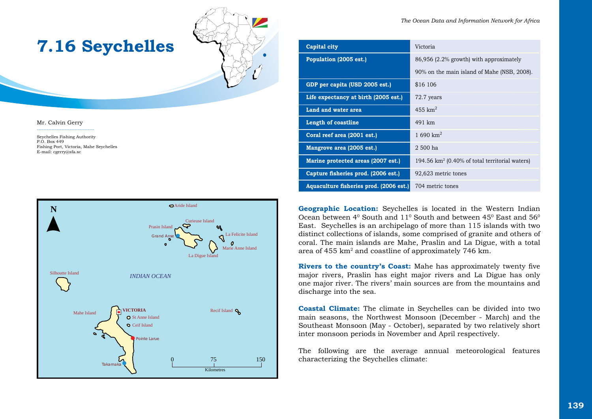

# **7.16 Seychelles**

#### Mr. Calvin Gerry

-----------------------------------

Seychelles Fishing Authority P.O. Box 449 Fishing Port, Victoria, Mahe Seychelles E-mail: cgerry@sfa.sc



*The Ocean Data and Information Network for Africa*

| Capital city                            | Victoria                                          |
|-----------------------------------------|---------------------------------------------------|
| Population (2005 est.)                  | 86,956 (2.2% growth) with approximately           |
|                                         | 90% on the main island of Mahe (NSB, 2008).       |
| GDP per capita (USD 2005 est.)          | \$16 106                                          |
| Life expectancy at birth (2005 est.)    | 72.7 years                                        |
| Land and water area                     | 455 km <sup>2</sup>                               |
| Length of coastline                     | 491 km                                            |
| Coral reef area (2001 est.)             | 1.690 km <sup>2</sup>                             |
| Mangrove area (2005 est.)               | $2,500$ ha                                        |
| Marine protected areas (2007 est.)      | 194.56 $km^2$ (0.40% of total territorial waters) |
| Capture fisheries prod. (2006 est.)     | 92,623 metric tones                               |
| Aquaculture fisheries prod. (2006 est.) | 704 metric tones                                  |

**Geographic Location:** Seychelles is located in the Western Indian Ocean between  $4^{\circ}$  South and  $11^{\circ}$  South and between  $45^{\circ}$  East and  $56^{\circ}$ East. Seychelles is an archipelago of more than 115 islands with two distinct collections of islands, some comprised of granite and others of coral. The main islands are Mahe, Praslin and La Digue, with a total area of 455 km2 and coastline of approximately 746 km.

**Rivers to the country's Coast:** Mahe has approximately twenty five major rivers, Praslin has eight major rivers and La Digue has only one major river. The rivers' main sources are from the mountains and discharge into the sea.

**Coastal Climate:** The climate in Seychelles can be divided into two main seasons, the Northwest Monsoon (December - March) and the Southeast Monsoon (May - October), separated by two relatively short inter monsoon periods in November and April respectively.

The following are the average annual meteorological features characterizing the Seychelles climate: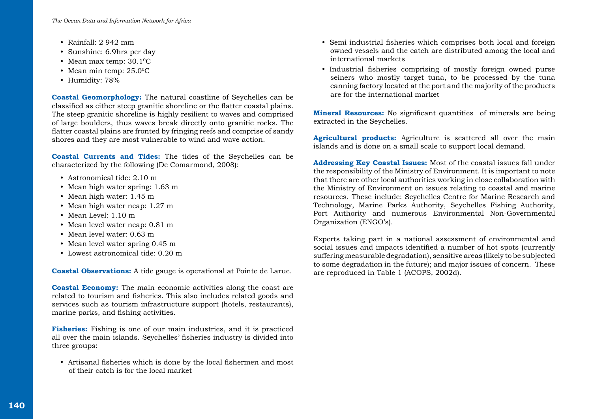- $\cdot$  Rainfall: 2.942 mm
- Sunshine: 6.9hrs per day
- Mean max temp:  $30.1^{\circ}$ C
- $\bullet$  Mean min temp: 25.0 $^{\circ}$ C
- Humidity: 78%

**Coastal Geomorphology:** The natural coastline of Seychelles can be classified as either steep granitic shoreline or the flatter coastal plains. The steep granitic shoreline is highly resilient to waves and comprised of large boulders, thus waves break directly onto granitic rocks. The flatter coastal plains are fronted by fringing reefs and comprise of sandy shores and they are most vulnerable to wind and wave action.

**Coastal Currents and Tides:** The tides of the Seychelles can be characterized by the following (De Comarmond, 2008):

- Astronomical tide:  $2.10 \text{ m}$
- Mean high water spring: 1.63 m
- Mean high water: 1.45 m
- Mean high water neap:  $1.27 \text{ m}$
- $\bullet$  Mean Level: 1.10 m
- Mean level water neap: 0.81 m
- Mean level water: 0.63 m
- $\bullet$  Mean level water spring 0.45 m
- Lowest astronomical tide: 0.20 m

**Coastal Observations:** A tide gauge is operational at Pointe de Larue.

**Coastal Economy:** The main economic activities along the coast are related to tourism and fisheries. This also includes related goods and services such as tourism infrastructure support (hotels, restaurants), marine parks, and fishing activities.

**Fisheries:** Fishing is one of our main industries, and it is practiced all over the main islands. Seychelles' fisheries industry is divided into three groups:

• Artisanal fisheries which is done by the local fishermen and most of their catch is for the local market

- Semi industrial fisheries which comprises both local and foreign owned vessels and the catch are distributed among the local and international markets
- Industrial fisheries comprising of mostly foreign owned purse seiners who mostly target tuna, to be processed by the tuna canning factory located at the port and the majority of the products are for the international market

**Mineral Resources:** No significant quantities of minerals are being extracted in the Seychelles.

**Agricultural products:** Agriculture is scattered all over the main islands and is done on a small scale to support local demand.

**Addressing Key Coastal Issues:** Most of the coastal issues fall under the responsibility of the Ministry of Environment. It is important to note that there are other local authorities working in close collaboration with the Ministry of Environment on issues relating to coastal and marine resources. These include: Seychelles Centre for Marine Research and Technology, Marine Parks Authority, Seychelles Fishing Authority, Port Authority and numerous Environmental Non-Governmental Organization (ENGO's).

Experts taking part in a national assessment of environmental and social issues and impacts identified a number of hot spots (currently suffering measurable degradation), sensitive areas (likely to be subjected to some degradation in the future); and major issues of concern. These are reproduced in Table 1 (ACOPS, 2002d).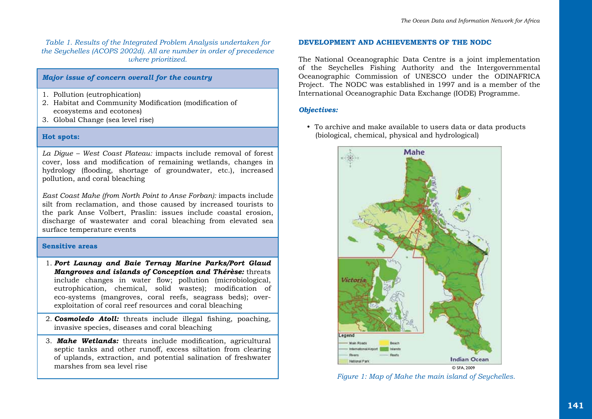*Table 1. Results of the Integrated Problem Analysis undertaken for the Seychelles (ACOPS 2002d). All are number in order of precedence where prioritized.*

## *Major issue of concern overall for the country*

- 1. Pollution (eutrophication)
- 2. Habitat and Community Modification (modification of ecosystems and ecotones)
- 3. Global Change (sea level rise)

#### **Hot spots:**

*La Digue – West Coast Plateau:* impacts include removal of forest cover, loss and modification of remaining wetlands, changes in hydrology (flooding, shortage of groundwater, etc.), increased pollution, and coral bleaching

*East Coast Mahe (from North Point to Anse Forban):* impacts include silt from reclamation, and those caused by increased tourists to the park Anse Volbert, Praslin: issues include coastal erosion, discharge of wastewater and coral bleaching from elevated sea surface temperature events

#### **Sensitive areas**

- 1. *Port Launay and Baie Ternay Marine Parks/Port Glaud Mangroves and islands of Conception and Thérèse:* threats include changes in water flow; pollution (microbiological, eutrophication, chemical, solid wastes); modification of eco-systems (mangroves, coral reefs, seagrass beds); overexploitation of coral reef resources and coral bleaching
- 2. *Cosmoledo Atoll:* threats include illegal fishing, poaching, invasive species, diseases and coral bleaching
- 3. *Mahe Wetlands:* threats include modification, agricultural septic tanks and other runoff, excess siltation from clearing of uplands, extraction, and potential salination of freshwater marshes from sea level rise

#### **DEVELOPMENT AND ACHIEVEMENTS OF THE NODC**

The National Oceanographic Data Centre is a joint implementation of the Seychelles Fishing Authority and the Intergovernmental Oceanographic Commission of UNESCO under the ODINAFRICA Project. The NODC was established in 1997 and is a member of the International Oceanographic Data Exchange (IODE) Programme.

#### *Objectives:*

• To archive and make available to users data or data products (biological, chemical, physical and hydrological)



*Figure 1: Map of Mahe the main island of Seychelles.*